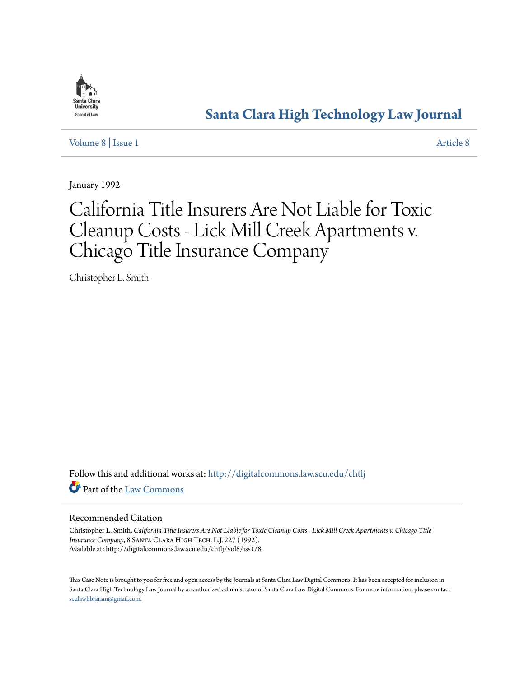

# **[Santa Clara High Technology Law Journal](http://digitalcommons.law.scu.edu/chtlj?utm_source=digitalcommons.law.scu.edu%2Fchtlj%2Fvol8%2Fiss1%2F8&utm_medium=PDF&utm_campaign=PDFCoverPages)**

[Volume 8](http://digitalcommons.law.scu.edu/chtlj/vol8?utm_source=digitalcommons.law.scu.edu%2Fchtlj%2Fvol8%2Fiss1%2F8&utm_medium=PDF&utm_campaign=PDFCoverPages) | [Issue 1](http://digitalcommons.law.scu.edu/chtlj/vol8/iss1?utm_source=digitalcommons.law.scu.edu%2Fchtlj%2Fvol8%2Fiss1%2F8&utm_medium=PDF&utm_campaign=PDFCoverPages) [Article 8](http://digitalcommons.law.scu.edu/chtlj/vol8/iss1/8?utm_source=digitalcommons.law.scu.edu%2Fchtlj%2Fvol8%2Fiss1%2F8&utm_medium=PDF&utm_campaign=PDFCoverPages)

January 1992

# California Title Insurers Are Not Liable for Toxic Cleanup Costs - Lick Mill Creek Apartments v. Chicago Title Insurance Company

Christopher L. Smith

Follow this and additional works at: [http://digitalcommons.law.scu.edu/chtlj](http://digitalcommons.law.scu.edu/chtlj?utm_source=digitalcommons.law.scu.edu%2Fchtlj%2Fvol8%2Fiss1%2F8&utm_medium=PDF&utm_campaign=PDFCoverPages) Part of the [Law Commons](http://network.bepress.com/hgg/discipline/578?utm_source=digitalcommons.law.scu.edu%2Fchtlj%2Fvol8%2Fiss1%2F8&utm_medium=PDF&utm_campaign=PDFCoverPages)

# Recommended Citation

Christopher L. Smith, *California Title Insurers Are Not Liable for Toxic Cleanup Costs - Lick Mill Creek Apartments v. Chicago Title Insurance Company*, 8 Santa Clara High Tech. L.J. 227 (1992). Available at: http://digitalcommons.law.scu.edu/chtlj/vol8/iss1/8

This Case Note is brought to you for free and open access by the Journals at Santa Clara Law Digital Commons. It has been accepted for inclusion in Santa Clara High Technology Law Journal by an authorized administrator of Santa Clara Law Digital Commons. For more information, please contact [sculawlibrarian@gmail.com](mailto:sculawlibrarian@gmail.com).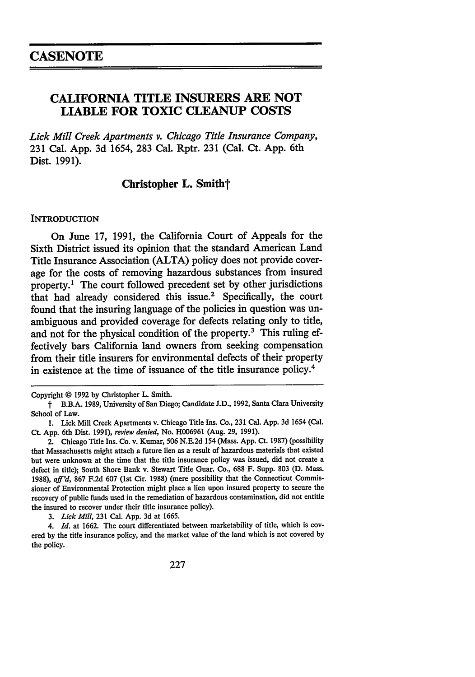# **CALIFORNIA TITLE INSURERS ARE NOT LIABLE FOR TOXIC CLEANUP COSTS**

*Lick Mill Creek Apartments v. Chicago Title Insurance Company,* **231** Cal. **App. 3d** 1654, **283** Cal. Rptr. **231** (Cal. Ct. **App.** 6th Dist. **1991).**

Christopher L. Smith<sup>†</sup>

#### **INTRODUCTION**

On June **17, 1991,** the California Court of Appeals for the Sixth District issued its opinion that the standard American Land Title Insurance Association **(ALTA)** policy does not provide coverage for the costs of removing hazardous substances from insured property.1 The court followed precedent set **by** other jurisdictions that had already considered this issue.<sup>2</sup> Specifically, the court found that the insuring language of the policies in question was unambiguous and provided coverage for defects relating only to title, and not for the physical condition of the property.3 This ruling effectively bars California land owners from seeking compensation from their title insurers for environmental defects of their property in existence at the time of issuance of the title insurance policy.<sup>4</sup>

Copyright **@** 1992 by Christopher L. Smith.

t B.B.A. 1989, University of San Diego; Candidate J.D., 1992, Santa Clara University School of Law.

**<sup>1.</sup>** Lick Mill Creek Apartments v. Chicago Title Ins. Co., **231** Cal. App. 3d 1654 (Cal. Ct. App. 6th Dist. 1991), *review denied,* No. H006961 (Aug. **29,** 1991).

<sup>2.</sup> Chicago Title Ins. Co. v. Kumar, 506 N.E.2d 154 (Mass. App. Ct. 1987) (possibility that Massachusetts might attach a future lien as a result of hazardous materials that existed but were unknown at the time that the title insurance policy was issued, did not create a defect in title); South Shore Bank v. Stewart Title Guar. Co., 688 F. Supp. 803 **(D.** Mass. **1988),** *aff'd,* 867 F.2d 607 (Ist Cir. 1988) (mere possibility that the Connecticut Commissioner of Environmental Protection might place a lien upon insured property to secure the recovery of public funds used in the remediation of hazardous contamination, did not entitle the insured to recover under their title insurance policy).

*<sup>3.</sup> Lick Mill,* **231** Cal. App. 3d at 1665.

*<sup>4.</sup> Id.* at 1662. The court differentiated between marketability of title, which is covered by the title insurance policy, and the market value of the land which is not covered by the policy.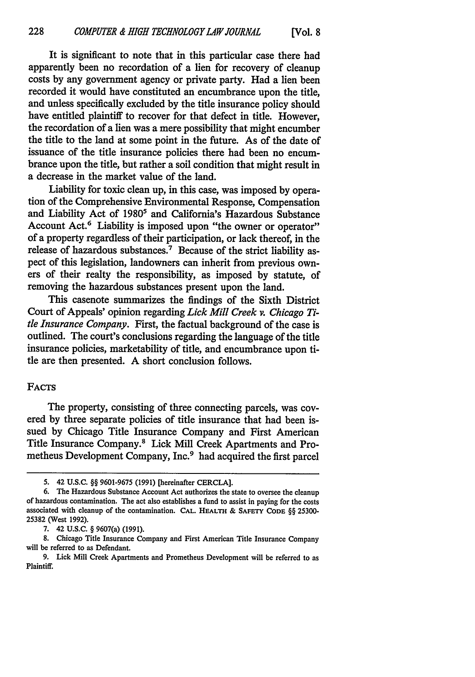It is significant to note that in this particular case there had apparently been no recordation of a lien for recovery of cleanup costs by any government agency or private party. Had a lien been recorded it would have constituted an encumbrance upon the title, and unless specifically excluded by the title insurance policy should have entitled plaintiff to recover for that defect in title. However, the recordation of a lien was a mere possibility that might encumber the title to the land at some point in the future. As of the date of issuance of the title insurance policies there had been no encumbrance upon the title, but rather a soil condition that might result in a decrease in the market value of the land.

Liability for toxic clean up, in this case, was imposed by operation of the Comprehensive Environmental Response, Compensation and Liability Act of 1980<sup>5</sup> and California's Hazardous Substance Account Act.<sup>6</sup> Liability is imposed upon "the owner or operator" of a property regardless of their participation, or lack thereof, in the release of hazardous substances.7 Because of the strict liability aspect of this legislation, landowners can inherit from previous owners of their realty the responsibility, as imposed by statute, of removing the hazardous substances present upon the land.

This casenote summarizes the findings of the Sixth District Court of Appeals' opinion regarding *Lick Mill Creek v. Chicago Title Insurance Company.* First, the factual background of the case is outlined. The court's conclusions regarding the language of the title insurance policies, marketability of title, and encumbrance upon title are then presented. A short conclusion follows.

# FACTS

The property, consisting of three connecting parcels, was covered by three separate policies of title insurance that had been issued by Chicago Title Insurance Company and First American Title Insurance Company.8 Lick Mill Creek Apartments and Prometheus Development Company, Inc.<sup>9</sup> had acquired the first parcel

**<sup>5.</sup>** 42 **U.S.C.** §§ 9601-9675 (1991) [hereinafter CERCLA].

<sup>6.</sup> The Hazardous Substance Account Act authorizes the state to oversee the cleanup of hazardous contamination. The act also establishes a fund to assist in paying for the costs associated with cleanup of the contamination. **CAL. HEALTH** & **SAFETY CODE** §§ 25300- 25382 (West 1992).

**<sup>7.</sup>** 42 **U.S.C.** § 9607(a) (1991).

**<sup>8.</sup>** Chicago Title Insurance Company and First American Title Insurance Company will be referred to as Defendant.

<sup>9.</sup> Lick Mill Creek Apartments and Prometheus Development will be referred to as Plaintiff.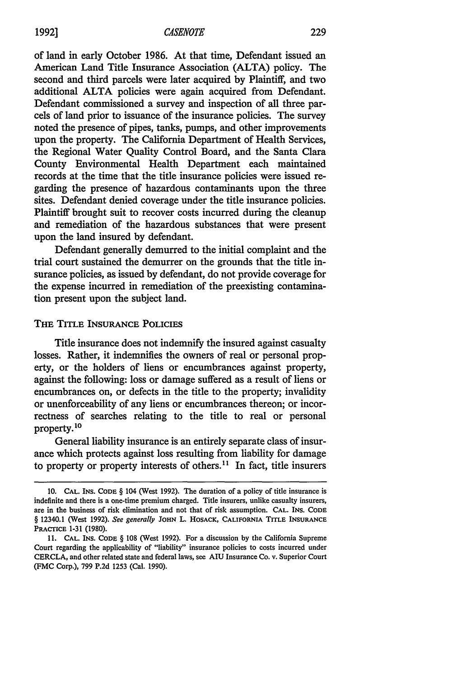of land in early October 1986. At that time, Defendant issued an American Land Title Insurance Association (ALTA) policy. The second and third parcels were later acquired by Plaintiff, and two additional ALTA policies were again acquired from Defendant. Defendant commissioned a survey and inspection of all three parcels of land prior to issuance of the insurance policies. The survey noted the presence of pipes, tanks, pumps, and other improvements upon the property. The California Department of Health Services, the Regional Water Quality Control Board, and the Santa Clara County Environmental Health Department each maintained records at the time that the title insurance policies were issued regarding the presence of hazardous contaminants upon the three sites. Defendant denied coverage under the title insurance policies. Plaintiff brought suit to recover costs incurred during the cleanup and remediation of the hazardous substances that were present upon the land insured by defendant.

Defendant generally demurred to the initial complaint and the trial court sustained the demurrer on the grounds that the title insurance policies, as issued by defendant, do not provide coverage for the expense incurred in remediation of the preexisting contamination present upon the subject land.

# THE TITLE **INSURANCE** POLICIES

Title insurance does not indemnify the insured against casualty losses. Rather, it indemnifies the owners of real or personal property, or the holders of liens or encumbrances against property, against the following: loss or damage suffered as a result of liens or encumbrances on, or defects in the title to the property; invalidity or unenforceability of any liens or encumbrances thereon; or incorrectness of searches relating to the title to real or personal property.10

General liability insurance is an entirely separate class of insurance which protects against loss resulting from liability for damage to property or property interests of others.<sup>11</sup> In fact, title insurers

**<sup>10.</sup> CAL.** INS. **CODE** § 104 (West 1992). The duration of a policy of title insurance is indefinite and there is a one-time premium charged. Title insurers, unlike casualty insurers, are in the business of risk elimination and not that of risk assumption. **CAL. INS. CODE** § 12340.1 (West 1992). *See generally* **JOHN** L. **HOSACK, CALIFORNIA TITLE INSURANCE** PRACTICE 1-31 (1980).

<sup>11.</sup> **CAL. INS. CODE** § 108 (West 1992). For a discussion by the California Supreme Court regarding the applicability of "liability" insurance policies to costs incurred under CERCLA, and other related state and federal laws, see AIU Insurance Co. v. Superior Court (FMC Corp.), 799 P.2d 1253 (Cal. 1990).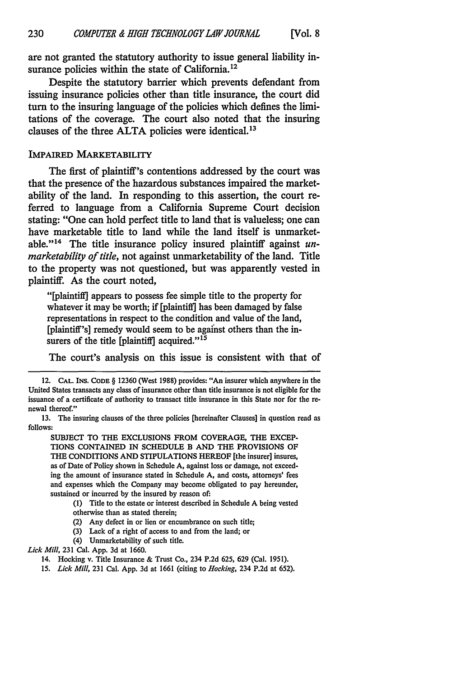are not granted the statutory authority to issue general liability insurance policies within the state of California.<sup>12</sup>

Despite the statutory barrier which prevents defendant from issuing insurance policies other than title insurance, the court did turn to the insuring language of the policies which defines the limitations of the coverage. The court also noted that the insuring clauses of the three **ALTA** policies were identical.<sup>13</sup>

### IMPAIRED MARKETABILITY

The first of plaintiff's contentions addressed **by** the court was that the presence of the hazardous substances impaired the marketability of the land. In responding to this assertion, the court referred to language from a California Supreme Court decision stating: "One can hold perfect title to land that is valueless; one can have marketable title to land while the land itself is unmarketable."14 The title insurance policy insured plaintiff against *unmarketability of title,* not against unmarketability of the land. Title to the property was not questioned, but was apparently vested in plaintiff. As the court noted,

"[plaintiff] appears to possess fee simple title to the property for whatever it may be worth; if [plaintiff] has been damaged **by** false representations **in** respect to the condition and value of the land, [plaintiff's] remedy would seem to be against others than the insurers of the title [plaintiff] acquired."<sup>15</sup>

The court's analysis on this issue is consistent with that of

**SUBJECT** TO THE **EXCLUSIONS** FROM COVERAGE, THE **EXCEP-TIONS** CONTAINED IN **SCHEDULE** B **AND** THE PROVISIONS OF **THE CONDITIONS AND STIPULATIONS HEREOF [the insurer] insures,** as of Date of Policy shown in Schedule **A,** against loss or damage, not exceeding the amount of insurance stated in Schedule **A,** and costs, attorneys' fees and expenses which the Company may become obligated to pay hereunder, sustained or incurred **by** the insured **by** reason **of:**

(1) Title to the estate or interest described in Schedule **A** being vested otherwise than as stated therein;

- (2) Any defect in or lien or encumbrance on such title;
- (3) Lack of a right of access to and from the land; or
- (4) Unmarketability of such title.

*Lick Mill,* 231 Cal. App. 3d at 1660.

<sup>12.</sup> **CAL.** INS. **CODE** § 12360 (West 1988) provides: "An insurer which anywhere in the United States transacts any class of insurance other than title insurance is not eligible for the issuance of a certificate of authority to transact title insurance in this State nor for the renewal thereof."

<sup>13.</sup> The insuring clauses of the three policies [hereinafter Clauses] in question read as **follows:**

<sup>14.</sup> Hocking v. Title Insurance **&** Trust Co., 234 P.2d 625, 629 (Cal. 1951).

*<sup>15.</sup> Lick Mill,* 231 Cal. App. **3d** at 1661 (citing to *Hocking,* 234 P.2d at 652).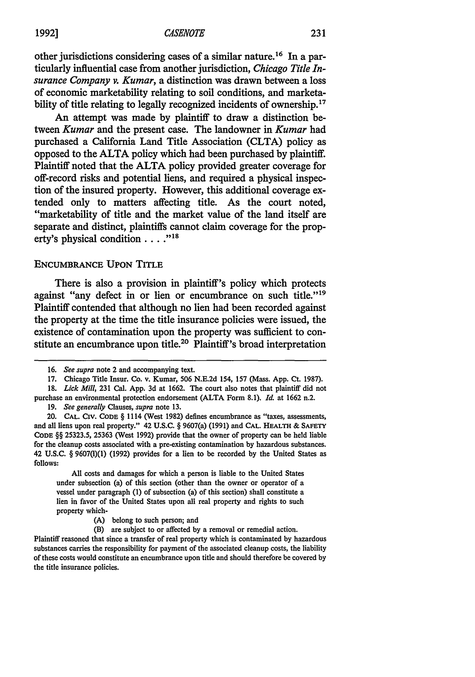other jurisdictions considering cases of a similar nature.<sup>16</sup> In a particularly influential case from another jurisdiction, *Chicago Title Insurance Company v. Kumar,* a distinction was drawn between a loss of economic marketability relating to soil conditions, and marketability of title relating to legally recognized incidents of ownership.<sup>17</sup>

An attempt was made **by** plaintiff to draw a distinction between *Kumar* and the present case. The landowner in *Kumar* had purchased a California Land Title Association **(CLTA)** policy as opposed to the **ALTA** policy which had been purchased **by** plaintiff. Plaintiff noted that the **ALTA** policy provided greater coverage for off-record risks and potential liens, and required a physical inspection of the insured property. However, this additional coverage extended only to matters affecting title. As the court noted, "marketability of title and the market value of the land itself are separate and distinct, plaintiffs cannot claim coverage for the property's physical condition  $\dots$ <sup>118</sup>

#### ENCUMBRANCE UPON TITLE

There is also a provision in plaintiff's policy which protects against "any defect in or lien or encumbrance on such title."<sup>19</sup> Plaintiff contended that although no lien had been recorded against the property at the time the title insurance policies were issued, the existence of contamination upon the property was sufficient to constitute an encumbrance upon title.<sup>20</sup> Plaintiff's broad interpretation

**18.** *Lick Mill,* **231** Cal. App. **3d** at 1662. The court also notes that plaintiff did not purchase an environmental protection endorsement (ALTA Form 8.1). *Id.* at 1662 n.2.

**19.** *See generally* Clauses, *supra* note **13.**

All costs and damages for which a person is liable to the United States under subsection (a) of this section (other than the owner or operator of a vessel under paragraph (1) of subsection (a) of this section) shall constitute a lien in favor of the United States upon all real property and rights to such property which-

- **(A)** belong to such person; and
- (B) are subject to or affected by a removal or remedial action.

Plaintiff reasoned that since a transfer of real property which is contaminated by hazardous substances carries the responsibility for payment of the associated cleanup costs, the liability of these costs would constitute an encumbrance upon title and should therefore be covered by the title insurance policies.

**<sup>16.</sup>** *See supra* note 2 and accompanying text.

**<sup>17.</sup>** Chicago Title Insur. Co. v. Kumar, 506 N.E.2d 154, **157** (Mass. App. Ct. 1987).

<sup>20.</sup> **CAL.** CIV. **CODE** § 1114 (West **1982)** defines encumbrance as "taxes, assessments, and all liens upon real property." 42 U.S.C. § 9607(a) (1991) and **CAL. HEALTH** & **SAFETY CODE** §§ 25323.5, 25363 (West 1992) provide that the owner of property can be held liable for the cleanup costs associated with a pre-existing contamination by hazardous substances. 42 U.S.C. § 9607(t)(1) (1992) provides for a lien to be recorded by the United States as follows: